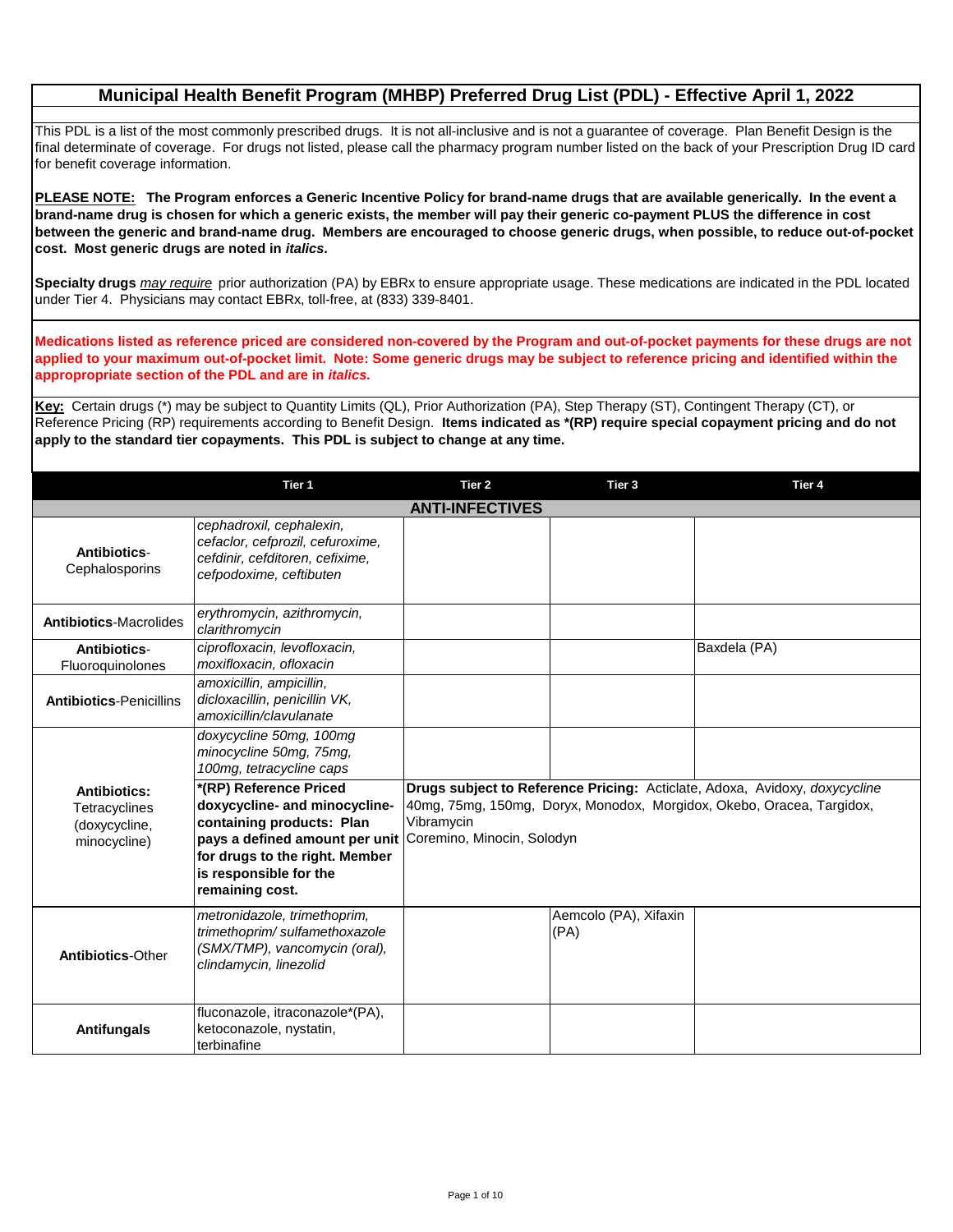## **Municipal Health Benefit Program (MHBP) Preferred Drug List (PDL) - Effective April 1, 2022**

This PDL is a list of the most commonly prescribed drugs. It is not all-inclusive and is not a guarantee of coverage. Plan Benefit Design is the final determinate of coverage. For drugs not listed, please call the pharmacy program number listed on the back of your Prescription Drug ID card for benefit coverage information.

**PLEASE NOTE: The Program enforces a Generic Incentive Policy for brand-name drugs that are available generically. In the event a brand-name drug is chosen for which a generic exists, the member will pay their generic co-payment PLUS the difference in cost between the generic and brand-name drug. Members are encouraged to choose generic drugs, when possible, to reduce out-of-pocket cost. Most generic drugs are noted in** *italics.*

**Specialty drugs** *may require* prior authorization (PA) by EBRx to ensure appropriate usage. These medications are indicated in the PDL located under Tier 4. Physicians may contact EBRx, toll-free, at (833) 339-8401.

**Medications listed as reference priced are considered non-covered by the Program and out-of-pocket payments for these drugs are not applied to your maximum out-of-pocket limit. Note: Some generic drugs may be subject to reference pricing and identified within the appropropriate section of the PDL and are in** *italics.*

**Key:** Certain drugs (\*) may be subject to Quantity Limits (QL), Prior Authorization (PA), Step Therapy (ST), Contingent Therapy (CT), or Reference Pricing (RP) requirements according to Benefit Design. **Items indicated as \*(RP) require special copayment pricing and do not apply to the standard tier copayments. This PDL is subject to change at any time.**

|                                                                | Tier 1                                                                                                                                                                                                | Tier <sub>2</sub>                        | Tier 3                        | Tier 4                                                                                                                                              |  |  |
|----------------------------------------------------------------|-------------------------------------------------------------------------------------------------------------------------------------------------------------------------------------------------------|------------------------------------------|-------------------------------|-----------------------------------------------------------------------------------------------------------------------------------------------------|--|--|
| <b>ANTI-INFECTIVES</b>                                         |                                                                                                                                                                                                       |                                          |                               |                                                                                                                                                     |  |  |
| Antibiotics-<br>Cephalosporins                                 | cephadroxil, cephalexin,<br>cefaclor, cefprozil, cefuroxime,<br>cefdinir, cefditoren, cefixime,<br>cefpodoxime, ceftibuten                                                                            |                                          |                               |                                                                                                                                                     |  |  |
| <b>Antibiotics-Macrolides</b>                                  | erythromycin, azithromycin,<br>clarithromycin                                                                                                                                                         |                                          |                               |                                                                                                                                                     |  |  |
| Antibiotics-<br>Fluoroguinolones                               | ciprofloxacin, levofloxacin,<br>moxifloxacin, ofloxacin                                                                                                                                               |                                          |                               | Baxdela (PA)                                                                                                                                        |  |  |
| <b>Antibiotics-Penicillins</b>                                 | amoxicillin, ampicillin,<br>dicloxacillin, penicillin VK,<br>amoxicillin/clavulanate                                                                                                                  |                                          |                               |                                                                                                                                                     |  |  |
|                                                                | doxycycline 50mg, 100mg<br>minocycline 50mg, 75mg,<br>100mg, tetracycline caps                                                                                                                        |                                          |                               |                                                                                                                                                     |  |  |
| Antibiotics:<br>Tetracyclines<br>(doxycycline,<br>minocycline) | *(RP) Reference Priced<br>doxycycline- and minocycline-<br>containing products: Plan<br>pays a defined amount per unit<br>for drugs to the right. Member<br>is responsible for the<br>remaining cost. | Vibramycin<br>Coremino, Minocin, Solodyn |                               | Drugs subject to Reference Pricing: Acticlate, Adoxa, Avidoxy, doxycycline<br>40mg, 75mg, 150mg, Doryx, Monodox, Morgidox, Okebo, Oracea, Targidox, |  |  |
| <b>Antibiotics-Other</b>                                       | metronidazole, trimethoprim,<br>trimethoprim/sulfamethoxazole<br>(SMX/TMP), vancomycin (oral),<br>clindamycin, linezolid                                                                              |                                          | Aemcolo (PA), Xifaxin<br>(PA) |                                                                                                                                                     |  |  |
| <b>Antifungals</b>                                             | fluconazole, itraconazole*(PA),<br>ketoconazole, nystatin,<br>terbinafine                                                                                                                             |                                          |                               |                                                                                                                                                     |  |  |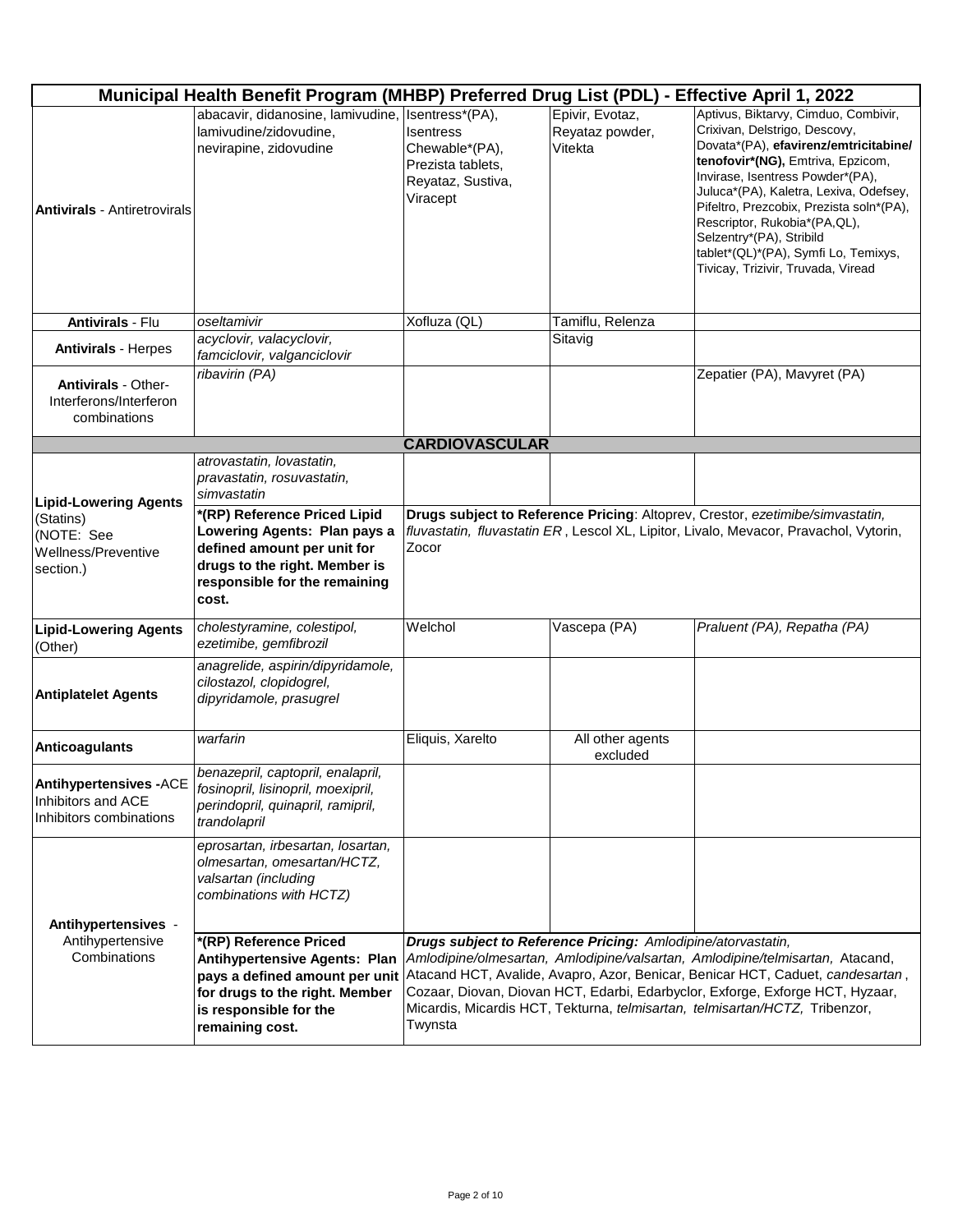|                                                                          | Municipal Health Benefit Program (MHBP) Preferred Drug List (PDL) - Effective April 1, 2022                                                                                     |                                                                                   |                                                              |                                                                                                                                                                                                                                                                                                                                                                                                                         |
|--------------------------------------------------------------------------|---------------------------------------------------------------------------------------------------------------------------------------------------------------------------------|-----------------------------------------------------------------------------------|--------------------------------------------------------------|-------------------------------------------------------------------------------------------------------------------------------------------------------------------------------------------------------------------------------------------------------------------------------------------------------------------------------------------------------------------------------------------------------------------------|
| <b>Antivirals - Antiretrovirals</b>                                      | abacavir, didanosine, lamivudine, Isentress*(PA),<br>lamivudine/zidovudine,<br>nevirapine, zidovudine                                                                           | Isentress<br>Chewable*(PA),<br>Prezista tablets,<br>Reyataz, Sustiva,<br>Viracept | Epivir, Evotaz,<br>Reyataz powder,<br>Vitekta                | Aptivus, Biktarvy, Cimduo, Combivir,<br>Crixivan, Delstrigo, Descovy,<br>Dovata*(PA), efavirenz/emtricitabine/<br>tenofovir*(NG), Emtriva, Epzicom,<br>Invirase, Isentress Powder*(PA),<br>Juluca*(PA), Kaletra, Lexiva, Odefsey,<br>Pifeltro, Prezcobix, Prezista soln*(PA),<br>Rescriptor, Rukobia*(PA,QL),<br>Selzentry*(PA), Stribild<br>tablet*(QL)*(PA), Symfi Lo, Temixys,<br>Tivicay, Trizivir, Truvada, Viread |
| <b>Antivirals - Flu</b>                                                  | oseltamivir                                                                                                                                                                     | Xofluza (QL)                                                                      | Tamiflu, Relenza                                             |                                                                                                                                                                                                                                                                                                                                                                                                                         |
| <b>Antivirals - Herpes</b>                                               | acyclovir, valacyclovir,<br>famciclovir, valganciclovir                                                                                                                         |                                                                                   | Sitavig                                                      |                                                                                                                                                                                                                                                                                                                                                                                                                         |
| <b>Antivirals - Other-</b><br>Interferons/Interferon<br>combinations     | ribavirin (PA)                                                                                                                                                                  |                                                                                   |                                                              | Zepatier (PA), Mavyret (PA)                                                                                                                                                                                                                                                                                                                                                                                             |
|                                                                          |                                                                                                                                                                                 | <b>CARDIOVASCULAR</b>                                                             |                                                              |                                                                                                                                                                                                                                                                                                                                                                                                                         |
| <b>Lipid-Lowering Agents</b>                                             | atrovastatin, lovastatin,<br>pravastatin, rosuvastatin,<br>simvastatin                                                                                                          |                                                                                   |                                                              |                                                                                                                                                                                                                                                                                                                                                                                                                         |
| (Statins)<br>(NOTE: See<br>Wellness/Preventive<br>section.)              | *(RP) Reference Priced Lipid<br>Lowering Agents: Plan pays a<br>defined amount per unit for<br>drugs to the right. Member is<br>responsible for the remaining<br>cost.          | Zocor                                                                             |                                                              | Drugs subject to Reference Pricing: Altoprev, Crestor, ezetimibe/simvastatin,<br>fluvastatin, fluvastatin ER, Lescol XL, Lipitor, Livalo, Mevacor, Pravachol, Vytorin,                                                                                                                                                                                                                                                  |
| <b>Lipid-Lowering Agents</b><br>(Other)                                  | cholestyramine, colestipol,<br>ezetimibe, gemfibrozil                                                                                                                           | Welchol                                                                           | Vascepa (PA)                                                 | Praluent (PA), Repatha (PA)                                                                                                                                                                                                                                                                                                                                                                                             |
| <b>Antiplatelet Agents</b>                                               | anagrelide, aspirin/dipyridamole,<br>cilostazol, clopidogrel,<br>dipyridamole, prasugrel                                                                                        |                                                                                   |                                                              |                                                                                                                                                                                                                                                                                                                                                                                                                         |
| <b>Anticoagulants</b>                                                    | warfarin                                                                                                                                                                        | Eliquis, Xarelto                                                                  | All other agents<br>excluded                                 |                                                                                                                                                                                                                                                                                                                                                                                                                         |
| Antihypertensives - ACE<br>Inhibitors and ACE<br>Inhibitors combinations | benazepril, captopril, enalapril,<br>fosinopril, lisinopril, moexipril,<br>perindopril, quinapril, ramipril,<br>trandolapril                                                    |                                                                                   |                                                              |                                                                                                                                                                                                                                                                                                                                                                                                                         |
| Antihypertensives -                                                      | eprosartan, irbesartan, losartan,<br>olmesartan, omesartan/HCTZ,<br>valsartan (including<br>combinations with HCTZ)                                                             |                                                                                   |                                                              |                                                                                                                                                                                                                                                                                                                                                                                                                         |
| Antihypertensive<br>Combinations                                         | *(RP) Reference Priced<br><b>Antihypertensive Agents: Plan</b><br>pays a defined amount per unit<br>for drugs to the right. Member<br>is responsible for the<br>remaining cost. | Twynsta                                                                           | Drugs subject to Reference Pricing: Amlodipine/atorvastatin, | Amlodipine/olmesartan, Amlodipine/valsartan, Amlodipine/telmisartan, Atacand,<br>Atacand HCT, Avalide, Avapro, Azor, Benicar, Benicar HCT, Caduet, candesartan,<br>Cozaar, Diovan, Diovan HCT, Edarbi, Edarbyclor, Exforge, Exforge HCT, Hyzaar,<br>Micardis, Micardis HCT, Tekturna, telmisartan, telmisartan/HCTZ, Tribenzor,                                                                                         |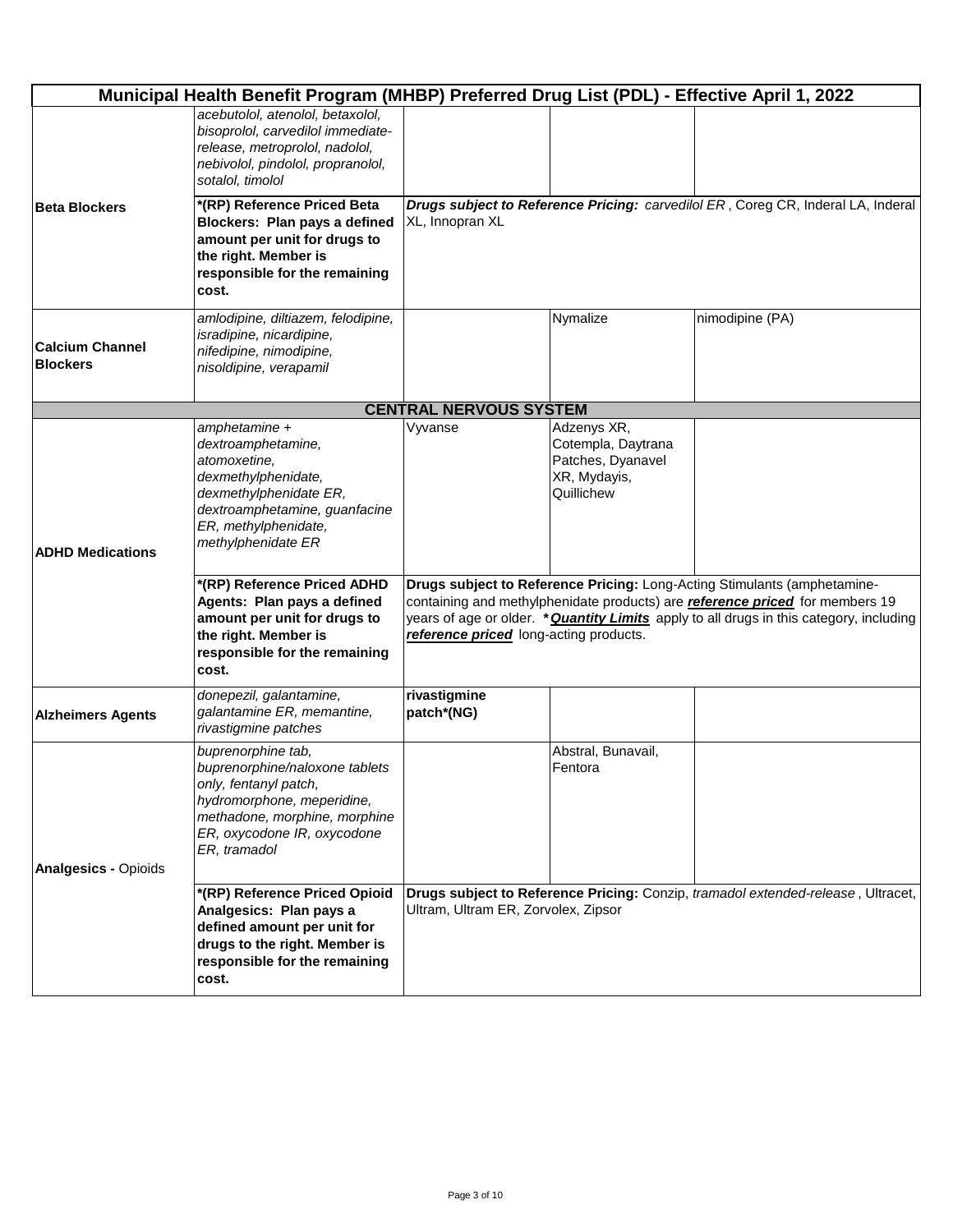|                                           | Municipal Health Benefit Program (MHBP) Preferred Drug List (PDL) - Effective April 1, 2022                                                                                                 |                                                                                                                                                                                                                                                                                                             |                                                                                      |                                                                                  |
|-------------------------------------------|---------------------------------------------------------------------------------------------------------------------------------------------------------------------------------------------|-------------------------------------------------------------------------------------------------------------------------------------------------------------------------------------------------------------------------------------------------------------------------------------------------------------|--------------------------------------------------------------------------------------|----------------------------------------------------------------------------------|
|                                           | acebutolol, atenolol, betaxolol,<br>bisoprolol, carvedilol immediate-<br>release, metroprolol, nadolol,<br>nebivolol, pindolol, propranolol,<br>sotalol, timolol                            |                                                                                                                                                                                                                                                                                                             |                                                                                      |                                                                                  |
| <b>IBeta Blockers</b>                     | *(RP) Reference Priced Beta<br>Blockers: Plan pays a defined<br>amount per unit for drugs to<br>the right. Member is<br>responsible for the remaining<br>cost.                              | XL, Innopran XL                                                                                                                                                                                                                                                                                             |                                                                                      | Drugs subject to Reference Pricing: carvedilol ER, Coreg CR, Inderal LA, Inderal |
| <b>Calcium Channel</b><br><b>Blockers</b> | amlodipine, diltiazem, felodipine,<br>isradipine, nicardipine,<br>nifedipine, nimodipine,<br>nisoldipine, verapamil                                                                         |                                                                                                                                                                                                                                                                                                             | Nymalize                                                                             | nimodipine (PA)                                                                  |
|                                           |                                                                                                                                                                                             | <b>CENTRAL NERVOUS SYSTEM</b>                                                                                                                                                                                                                                                                               |                                                                                      |                                                                                  |
| <b>ADHD Medications</b>                   | ampherical<br>dextroamphetamine,<br>atomoxetine,<br>dexmethylphenidate,<br>dexmethylphenidate ER,<br>dextroamphetamine, guanfacine<br>ER, methylphenidate,<br>methylphenidate ER            | Vyvanse                                                                                                                                                                                                                                                                                                     | Adzenys XR,<br>Cotempla, Daytrana<br>Patches, Dyanavel<br>XR, Mydayis,<br>Quillichew |                                                                                  |
|                                           | *(RP) Reference Priced ADHD<br>Agents: Plan pays a defined<br>amount per unit for drugs to<br>the right. Member is<br>responsible for the remaining<br>cost.                                | Drugs subject to Reference Pricing: Long-Acting Stimulants (amphetamine-<br>containing and methylphenidate products) are <b>reference priced</b> for members 19<br>years of age or older. * <b>Quantity Limits</b> apply to all drugs in this category, including<br>reference priced long-acting products. |                                                                                      |                                                                                  |
| <b>Alzheimers Agents</b>                  | donepezil, galantamine,<br>galantamine ER, memantine,<br>rivastigmine patches                                                                                                               | rivastigmine<br>patch*(NG)                                                                                                                                                                                                                                                                                  |                                                                                      |                                                                                  |
| <b>Analgesics - Opioids</b>               | buprenorphine tab,<br>buprenorphine/naloxone tablets<br>only, fentanyl patch,<br>hydromorphone, meperidine,<br>methadone, morphine, morphine<br>ER, oxycodone IR, oxycodone<br>ER, tramadol |                                                                                                                                                                                                                                                                                                             | Abstral, Bunavail,<br>Fentora                                                        |                                                                                  |
|                                           | *(RP) Reference Priced Opioid<br>Analgesics: Plan pays a<br>defined amount per unit for<br>drugs to the right. Member is<br>responsible for the remaining<br>cost.                          | Ultram, Ultram ER, Zorvolex, Zipsor                                                                                                                                                                                                                                                                         |                                                                                      | Drugs subject to Reference Pricing: Conzip, tramadol extended-release, Ultracet, |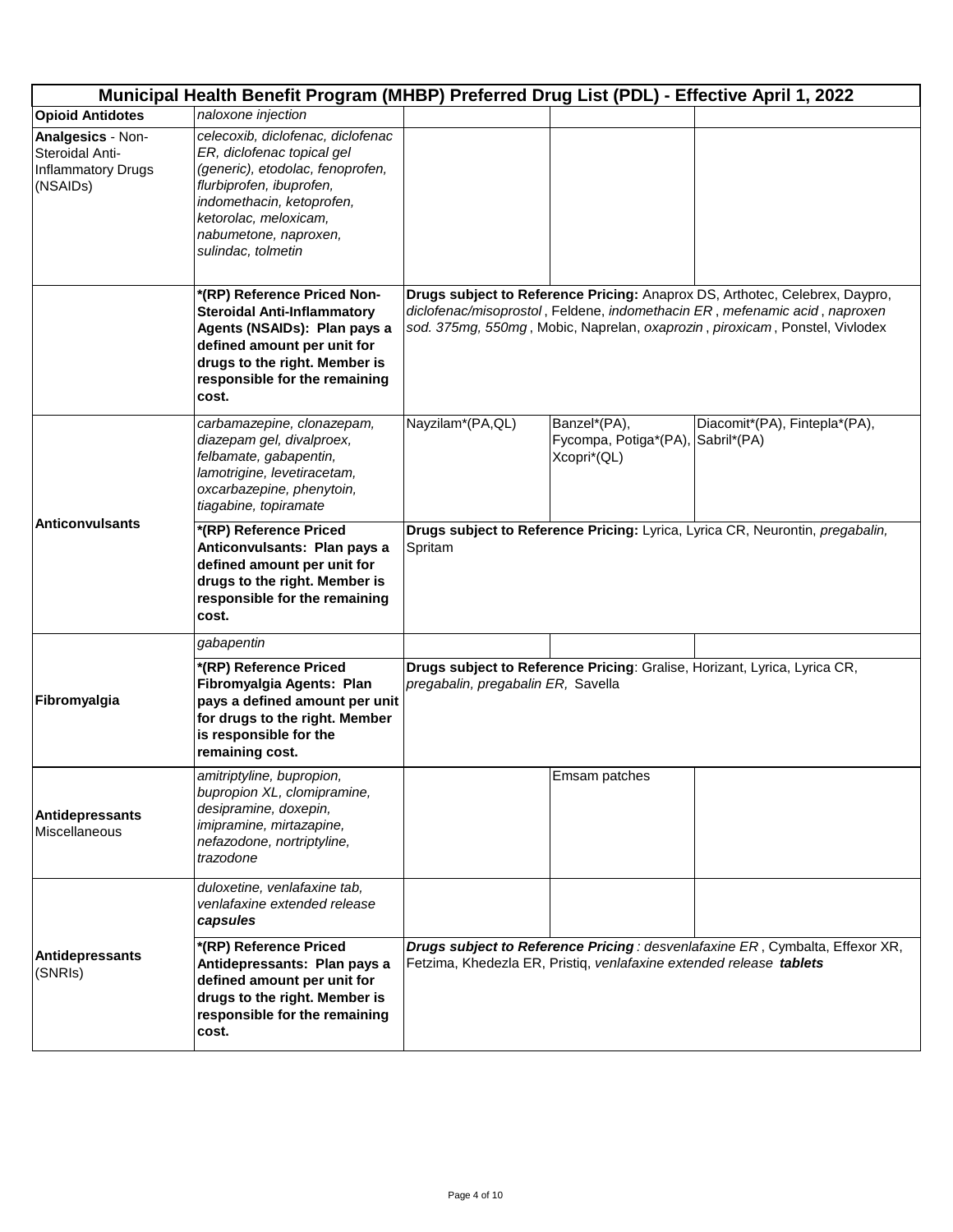|                                                                               | Municipal Health Benefit Program (MHBP) Preferred Drug List (PDL) - Effective April 1, 2022                                                                                                                                          |                                                                                          |                                                                     |                                                                                                                                                                                                                                          |  |
|-------------------------------------------------------------------------------|--------------------------------------------------------------------------------------------------------------------------------------------------------------------------------------------------------------------------------------|------------------------------------------------------------------------------------------|---------------------------------------------------------------------|------------------------------------------------------------------------------------------------------------------------------------------------------------------------------------------------------------------------------------------|--|
| <b>Opioid Antidotes</b>                                                       | naloxone injection                                                                                                                                                                                                                   |                                                                                          |                                                                     |                                                                                                                                                                                                                                          |  |
| Analgesics - Non-<br>Steroidal Anti-<br><b>Inflammatory Drugs</b><br>(NSAIDs) | celecoxib, diclofenac, diclofenac<br>ER, diclofenac topical gel<br>(generic), etodolac, fenoprofen,<br>flurbiprofen, ibuprofen,<br>indomethacin, ketoprofen,<br>ketorolac, meloxicam,<br>nabumetone, naproxen,<br>sulindac, tolmetin |                                                                                          |                                                                     |                                                                                                                                                                                                                                          |  |
|                                                                               | *(RP) Reference Priced Non-<br><b>Steroidal Anti-Inflammatory</b><br>Agents (NSAIDs): Plan pays a<br>defined amount per unit for<br>drugs to the right. Member is<br>responsible for the remaining<br>cost.                          |                                                                                          |                                                                     | Drugs subject to Reference Pricing: Anaprox DS, Arthotec, Celebrex, Daypro,<br>diclofenac/misoprostol, Feldene, indomethacin ER, mefenamic acid, naproxen<br>sod. 375mg, 550mg, Mobic, Naprelan, oxaprozin, piroxicam, Ponstel, Vivlodex |  |
|                                                                               | carbamazepine, clonazepam,<br>diazepam gel, divalproex,<br>felbamate, gabapentin,<br>lamotrigine, levetiracetam,<br>oxcarbazepine, phenytoin,<br>tiagabine, topiramate                                                               | Nayzilam*(PA,QL)                                                                         | Banzel*(PA),<br>Fycompa, Potiga*(PA),<br>Xcopri*(QL)                | Diacomit*(PA), Fintepla*(PA),<br>Sabril*(PA)                                                                                                                                                                                             |  |
| <b>Anticonvulsants</b>                                                        | *(RP) Reference Priced<br>Anticonvulsants: Plan pays a<br>defined amount per unit for<br>drugs to the right. Member is<br>responsible for the remaining<br>cost.                                                                     | Drugs subject to Reference Pricing: Lyrica, Lyrica CR, Neurontin, pregabalin,<br>Spritam |                                                                     |                                                                                                                                                                                                                                          |  |
|                                                                               | gabapentin                                                                                                                                                                                                                           |                                                                                          |                                                                     |                                                                                                                                                                                                                                          |  |
| Fibromyalgia                                                                  | *(RP) Reference Priced<br>Fibromyalgia Agents: Plan<br>pays a defined amount per unit<br>for drugs to the right. Member<br>is responsible for the<br>remaining cost.                                                                 | pregabalin, pregabalin ER, Savella                                                       |                                                                     | Drugs subject to Reference Pricing: Gralise, Horizant, Lyrica, Lyrica CR,                                                                                                                                                                |  |
| Antidepressants<br>Miscellaneous                                              | amitriptyline, bupropion,<br>bupropion XL, clomipramine,<br>desipramine, doxepin,<br>imipramine, mirtazapine,<br>nefazodone, nortriptyline,<br>trazodone                                                                             |                                                                                          | Emsam patches                                                       |                                                                                                                                                                                                                                          |  |
|                                                                               | duloxetine, venlafaxine tab,<br>venlafaxine extended release<br>capsules                                                                                                                                                             |                                                                                          |                                                                     |                                                                                                                                                                                                                                          |  |
| <b>Antidepressants</b><br>(SNRIs)                                             | *(RP) Reference Priced<br>Antidepressants: Plan pays a<br>defined amount per unit for<br>drugs to the right. Member is<br>responsible for the remaining<br>cost.                                                                     |                                                                                          | Fetzima, Khedezla ER, Pristiq, venlafaxine extended release tablets | Drugs subject to Reference Pricing : desvenlafaxine ER, Cymbalta, Effexor XR,                                                                                                                                                            |  |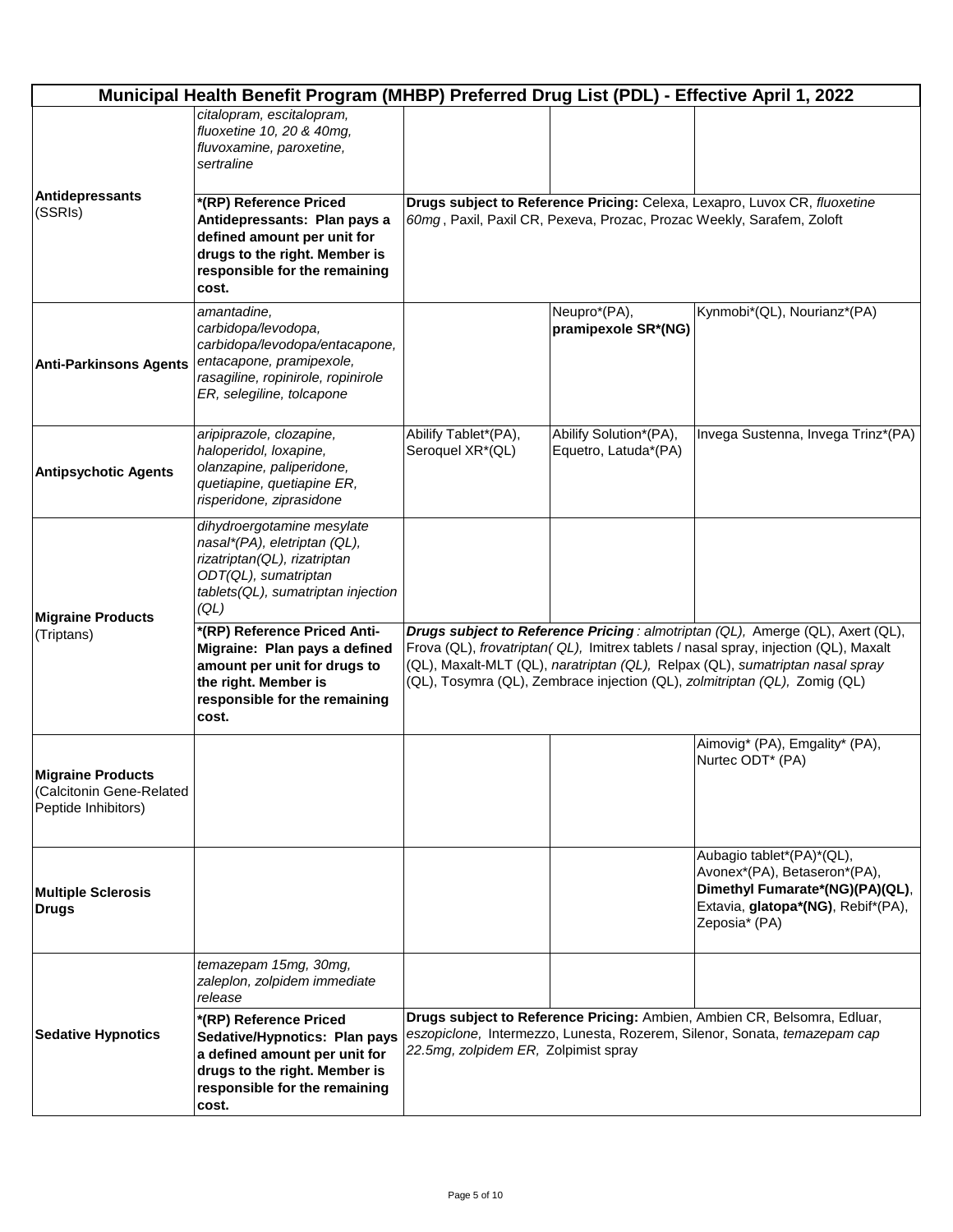|                                                                             | Municipal Health Benefit Program (MHBP) Preferred Drug List (PDL) - Effective April 1, 2022                                                                                    |                                                                                                                                                                                                                                                                                                                                       |                                                |                                                                                                                                                     |  |  |
|-----------------------------------------------------------------------------|--------------------------------------------------------------------------------------------------------------------------------------------------------------------------------|---------------------------------------------------------------------------------------------------------------------------------------------------------------------------------------------------------------------------------------------------------------------------------------------------------------------------------------|------------------------------------------------|-----------------------------------------------------------------------------------------------------------------------------------------------------|--|--|
|                                                                             | citalopram, escitalopram,<br>fluoxetine 10, 20 & 40mg,<br>fluvoxamine, paroxetine,<br>sertraline                                                                               |                                                                                                                                                                                                                                                                                                                                       |                                                |                                                                                                                                                     |  |  |
| Antidepressants<br>(SSRIs)                                                  | *(RP) Reference Priced<br>Antidepressants: Plan pays a<br>defined amount per unit for<br>drugs to the right. Member is<br>responsible for the remaining<br>cost.               | Drugs subject to Reference Pricing: Celexa, Lexapro, Luvox CR, fluoxetine<br>60mg, Paxil, Paxil CR, Pexeva, Prozac, Prozac Weekly, Sarafem, Zoloft                                                                                                                                                                                    |                                                |                                                                                                                                                     |  |  |
| <b>Anti-Parkinsons Agents</b>                                               | amantadine,<br>carbidopa/levodopa,<br>carbidopa/levodopa/entacapone,<br>entacapone, pramipexole,<br>rasagiline, ropinirole, ropinirole<br>ER, selegiline, tolcapone            |                                                                                                                                                                                                                                                                                                                                       | Neupro*(PA),<br>pramipexole SR*(NG)            | Kynmobi*(QL), Nourianz*(PA)                                                                                                                         |  |  |
| <b>Antipsychotic Agents</b>                                                 | aripiprazole, clozapine,<br>haloperidol, loxapine,<br>olanzapine, paliperidone,<br>quetiapine, quetiapine ER,<br>risperidone, ziprasidone                                      | Abilify Tablet*(PA),<br>Seroquel XR*(QL)                                                                                                                                                                                                                                                                                              | Abilify Solution*(PA),<br>Equetro, Latuda*(PA) | Invega Sustenna, Invega Trinz*(PA)                                                                                                                  |  |  |
| <b>Migraine Products</b><br>(Triptans)                                      | dihydroergotamine mesylate<br>nasal*(PA), eletriptan (QL),<br>rizatriptan(QL), rizatriptan<br>ODT(QL), sumatriptan<br>tablets(QL), sumatriptan injection<br>$\left( QL\right)$ |                                                                                                                                                                                                                                                                                                                                       |                                                |                                                                                                                                                     |  |  |
|                                                                             | *(RP) Reference Priced Anti-<br>Migraine: Plan pays a defined<br>amount per unit for drugs to<br>the right. Member is<br>responsible for the remaining<br>cost.                | Drugs subject to Reference Pricing: almotriptan (QL), Amerge (QL), Axert (QL),<br>Frova (QL), frovatriptan( QL), Imitrex tablets / nasal spray, injection (QL), Maxalt<br>(QL), Maxalt-MLT (QL), naratriptan (QL), Relpax (QL), sumatriptan nasal spray<br>(QL), Tosymra (QL), Zembrace injection (QL), zolmitriptan (QL), Zomig (QL) |                                                |                                                                                                                                                     |  |  |
| <b>Migraine Products</b><br>(Calcitonin Gene-Related<br>Peptide Inhibitors) |                                                                                                                                                                                |                                                                                                                                                                                                                                                                                                                                       |                                                | Aimovig* (PA), Emgality* (PA),<br>Nurtec ODT* (PA)                                                                                                  |  |  |
| <b>Multiple Sclerosis</b><br><b>Drugs</b>                                   |                                                                                                                                                                                |                                                                                                                                                                                                                                                                                                                                       |                                                | Aubagio tablet*(PA)*(QL),<br>Avonex*(PA), Betaseron*(PA),<br>Dimethyl Fumarate*(NG)(PA)(QL),<br>Extavia, glatopa*(NG), Rebif*(PA),<br>Zeposia* (PA) |  |  |
|                                                                             | temazepam 15mg, 30mg,<br>zaleplon, zolpidem immediate<br>release                                                                                                               |                                                                                                                                                                                                                                                                                                                                       |                                                |                                                                                                                                                     |  |  |
| <b>Sedative Hypnotics</b>                                                   | *(RP) Reference Priced<br>Sedative/Hypnotics: Plan pays<br>a defined amount per unit for<br>drugs to the right. Member is<br>responsible for the remaining<br>cost.            | Drugs subject to Reference Pricing: Ambien, Ambien CR, Belsomra, Edluar,<br>eszopiclone, Intermezzo, Lunesta, Rozerem, Silenor, Sonata, temazepam cap<br>22.5mg, zolpidem ER, Zolpimist spray                                                                                                                                         |                                                |                                                                                                                                                     |  |  |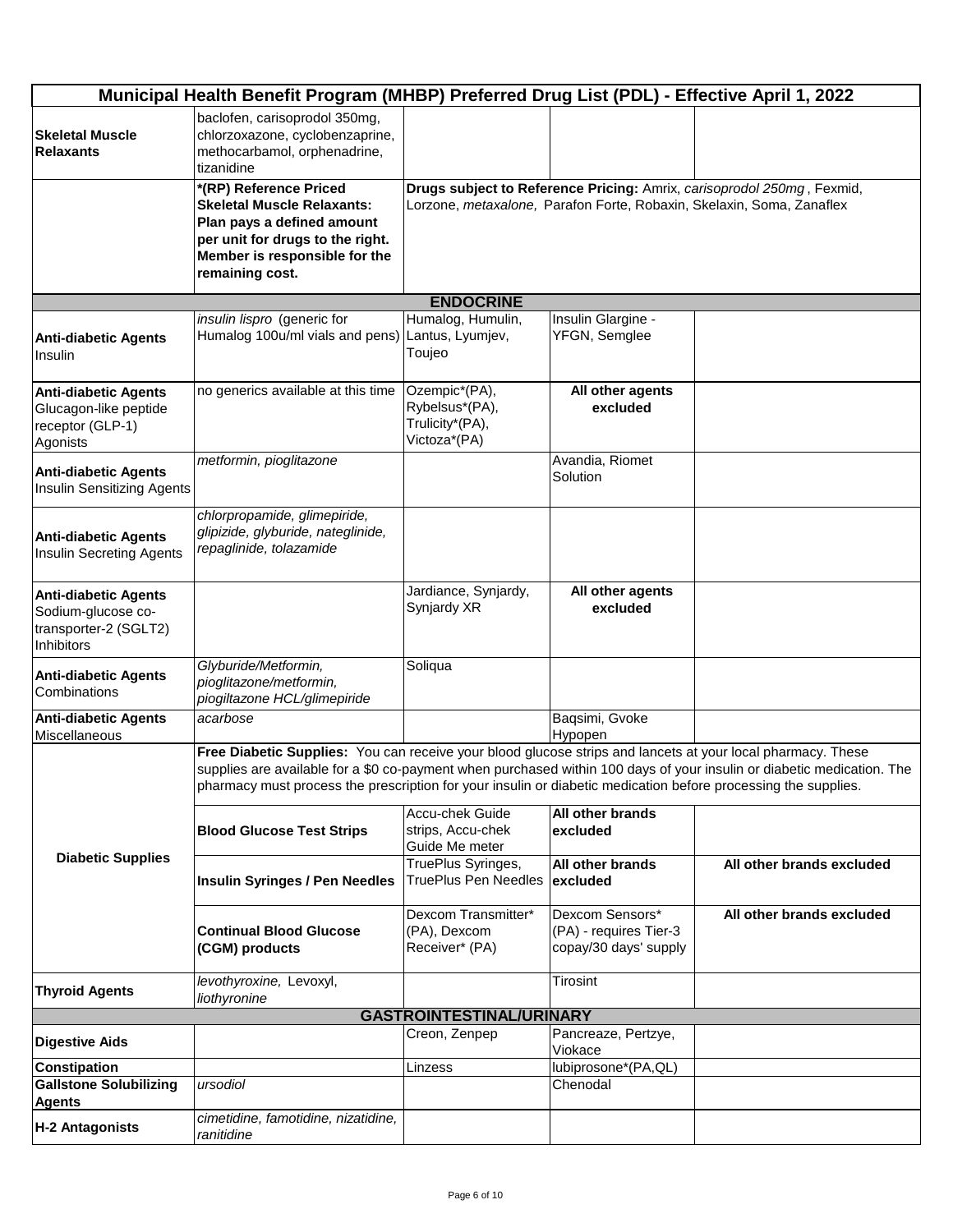|                                                                                          | Municipal Health Benefit Program (MHBP) Preferred Drug List (PDL) - Effective April 1, 2022                                                                                                                                   |                                                                    |                                                                    |                                                                                                                                                 |
|------------------------------------------------------------------------------------------|-------------------------------------------------------------------------------------------------------------------------------------------------------------------------------------------------------------------------------|--------------------------------------------------------------------|--------------------------------------------------------------------|-------------------------------------------------------------------------------------------------------------------------------------------------|
| <b>Skeletal Muscle</b><br><b>Relaxants</b>                                               | baclofen, carisoprodol 350mg,<br>chlorzoxazone, cyclobenzaprine,<br>methocarbamol, orphenadrine,<br>tizanidine                                                                                                                |                                                                    |                                                                    |                                                                                                                                                 |
|                                                                                          | *(RP) Reference Priced<br><b>Skeletal Muscle Relaxants:</b><br>Plan pays a defined amount<br>per unit for drugs to the right.<br>Member is responsible for the<br>remaining cost.                                             |                                                                    |                                                                    | Drugs subject to Reference Pricing: Amrix, carisoprodol 250mg, Fexmid,<br>Lorzone, metaxalone, Parafon Forte, Robaxin, Skelaxin, Soma, Zanaflex |
|                                                                                          |                                                                                                                                                                                                                               | <b>ENDOCRINE</b>                                                   |                                                                    |                                                                                                                                                 |
| <b>Anti-diabetic Agents</b><br>Insulin                                                   | insulin lispro (generic for<br>Humalog 100u/ml vials and pens)                                                                                                                                                                | Humalog, Humulin,<br>Lantus, Lyumjev,<br>Toujeo                    | Insulin Glargine -<br>YFGN, Semglee                                |                                                                                                                                                 |
| <b>Anti-diabetic Agents</b><br>Glucagon-like peptide<br>receptor (GLP-1)<br>Agonists     | no generics available at this time                                                                                                                                                                                            | Ozempic*(PA),<br>Rybelsus*(PA),<br>Trulicity*(PA),<br>Victoza*(PA) | All other agents<br>excluded                                       |                                                                                                                                                 |
| <b>Anti-diabetic Agents</b><br><b>Insulin Sensitizing Agents</b>                         | metformin, pioglitazone                                                                                                                                                                                                       |                                                                    | Avandia, Riomet<br>Solution                                        |                                                                                                                                                 |
| <b>Anti-diabetic Agents</b><br>Insulin Secreting Agents                                  | chlorpropamide, glimepiride,<br>glipizide, glyburide, nateglinide,<br>repaglinide, tolazamide                                                                                                                                 |                                                                    |                                                                    |                                                                                                                                                 |
| <b>Anti-diabetic Agents</b><br>Sodium-glucose co-<br>transporter-2 (SGLT2)<br>Inhibitors |                                                                                                                                                                                                                               | Jardiance, Synjardy,<br>Synjardy XR                                | All other agents<br>excluded                                       |                                                                                                                                                 |
| <b>Anti-diabetic Agents</b><br>Combinations                                              | Glyburide/Metformin,<br>pioglitazone/metformin,<br>piogiltazone HCL/glimepiride                                                                                                                                               | Soliqua                                                            |                                                                    |                                                                                                                                                 |
| <b>Anti-diabetic Agents</b><br>Miscellaneous                                             | acarbose                                                                                                                                                                                                                      |                                                                    | Baqsimi, Gvoke<br>Hypopen                                          |                                                                                                                                                 |
|                                                                                          | Free Diabetic Supplies: You can receive your blood glucose strips and lancets at your local pharmacy. These<br>pharmacy must process the prescription for your insulin or diabetic medication before processing the supplies. | Accu-chek Guide                                                    | All other brands                                                   | supplies are available for a \$0 co-payment when purchased within 100 days of your insulin or diabetic medication. The                          |
|                                                                                          | <b>Blood Glucose Test Strips</b>                                                                                                                                                                                              | strips, Accu-chek<br>Guide Me meter                                | excluded                                                           |                                                                                                                                                 |
| <b>Diabetic Supplies</b>                                                                 | <b>Insulin Syringes / Pen Needles</b>                                                                                                                                                                                         | TruePlus Syringes,<br>TruePlus Pen Needles                         | All other brands<br>excluded                                       | All other brands excluded                                                                                                                       |
|                                                                                          | <b>Continual Blood Glucose</b><br>(CGM) products                                                                                                                                                                              | Dexcom Transmitter*<br>(PA), Dexcom<br>Receiver* (PA)              | Dexcom Sensors*<br>(PA) - requires Tier-3<br>copay/30 days' supply | All other brands excluded                                                                                                                       |
| <b>Thyroid Agents</b>                                                                    | levothyroxine, Levoxyl,<br>liothyronine                                                                                                                                                                                       |                                                                    | Tirosint                                                           |                                                                                                                                                 |
|                                                                                          |                                                                                                                                                                                                                               | <b>GASTROINTESTINAL/URINARY</b>                                    |                                                                    |                                                                                                                                                 |
| <b>Digestive Aids</b>                                                                    |                                                                                                                                                                                                                               | Creon, Zenpep                                                      | Pancreaze, Pertzye,<br>Viokace                                     |                                                                                                                                                 |
| <b>Constipation</b><br><b>Gallstone Solubilizing</b><br><b>Agents</b>                    | ursodiol                                                                                                                                                                                                                      | Linzess                                                            | lubiprosone*(PA,QL)<br>Chenodal                                    |                                                                                                                                                 |
| <b>H-2 Antagonists</b>                                                                   | cimetidine, famotidine, nizatidine,<br>ranitidine                                                                                                                                                                             |                                                                    |                                                                    |                                                                                                                                                 |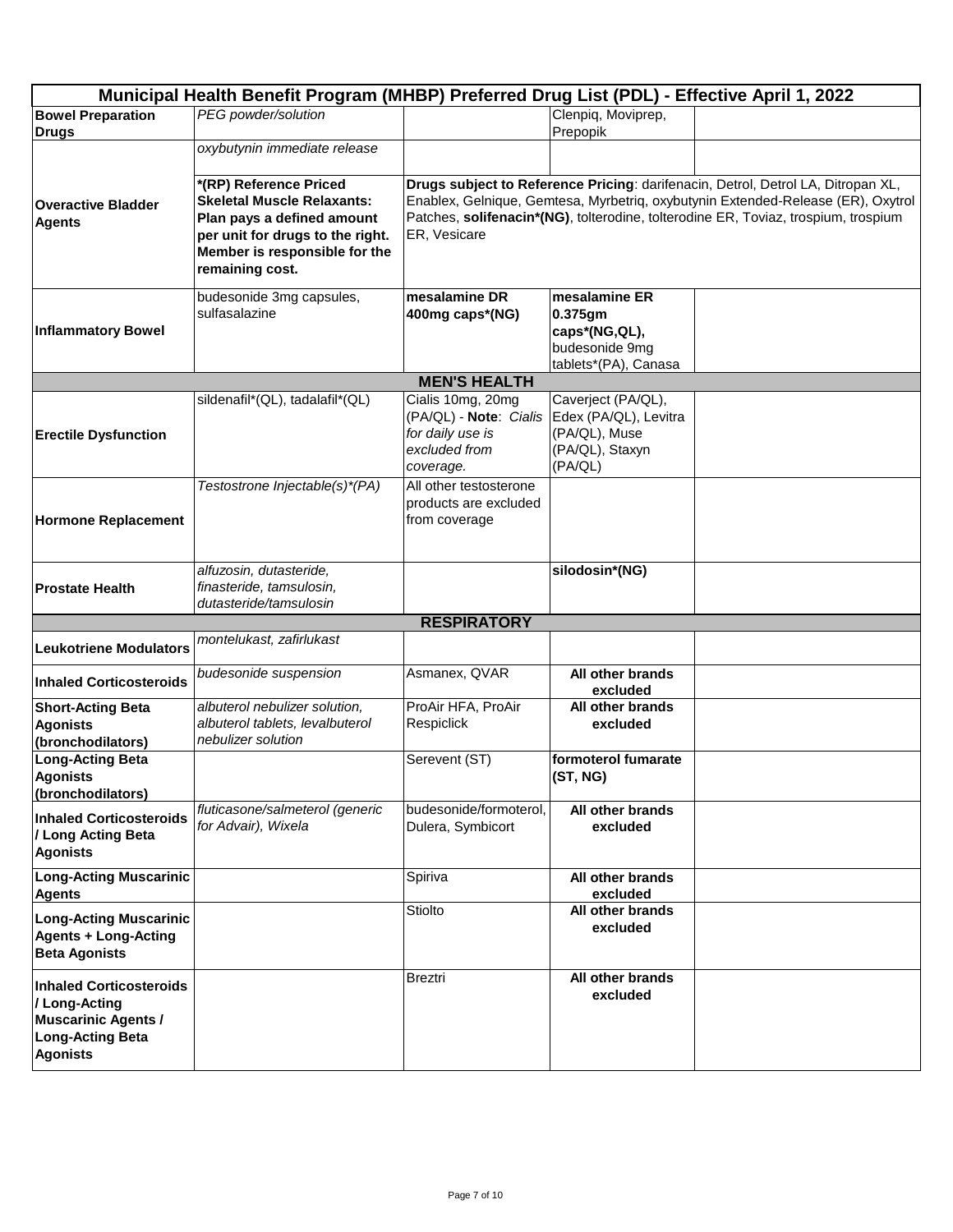|                                                                                                                             | Municipal Health Benefit Program (MHBP) Preferred Drug List (PDL) - Effective April 1, 2022                                                                                       |                                                                                                                                                                                                                                                                            |                                                                                            |  |  |
|-----------------------------------------------------------------------------------------------------------------------------|-----------------------------------------------------------------------------------------------------------------------------------------------------------------------------------|----------------------------------------------------------------------------------------------------------------------------------------------------------------------------------------------------------------------------------------------------------------------------|--------------------------------------------------------------------------------------------|--|--|
| <b>Bowel Preparation</b>                                                                                                    | PEG powder/solution                                                                                                                                                               |                                                                                                                                                                                                                                                                            | Clenpiq, Moviprep,                                                                         |  |  |
| <b>Drugs</b>                                                                                                                |                                                                                                                                                                                   |                                                                                                                                                                                                                                                                            | Prepopik                                                                                   |  |  |
|                                                                                                                             | oxybutynin immediate release                                                                                                                                                      |                                                                                                                                                                                                                                                                            |                                                                                            |  |  |
| <b>Overactive Bladder</b><br><b>Agents</b>                                                                                  | *(RP) Reference Priced<br><b>Skeletal Muscle Relaxants:</b><br>Plan pays a defined amount<br>per unit for drugs to the right.<br>Member is responsible for the<br>remaining cost. | Drugs subject to Reference Pricing: darifenacin, Detrol, Detrol LA, Ditropan XL,<br>Enablex, Gelnique, Gemtesa, Myrbetriq, oxybutynin Extended-Release (ER), Oxytrol<br>Patches, solifenacin*(NG), tolterodine, tolterodine ER, Toviaz, trospium, trospium<br>ER, Vesicare |                                                                                            |  |  |
|                                                                                                                             | budesonide 3mg capsules,                                                                                                                                                          | mesalamine DR                                                                                                                                                                                                                                                              | mesalamine ER                                                                              |  |  |
| <b>Inflammatory Bowel</b>                                                                                                   | sulfasalazine                                                                                                                                                                     | 400mg caps*(NG)                                                                                                                                                                                                                                                            | 0.375gm<br>caps*(NG,QL),<br>budesonide 9mg<br>tablets*(PA), Canasa                         |  |  |
|                                                                                                                             |                                                                                                                                                                                   | <b>MEN'S HEALTH</b>                                                                                                                                                                                                                                                        |                                                                                            |  |  |
| <b>Erectile Dysfunction</b>                                                                                                 | sildenafil*(QL), tadalafil*(QL)                                                                                                                                                   | Cialis 10mg, 20mg<br>(PA/QL) - Note: Cialis<br>for daily use is<br>excluded from<br>coverage.                                                                                                                                                                              | Caverject (PA/QL),<br>Edex (PA/QL), Levitra<br>(PA/QL), Muse<br>(PA/QL), Staxyn<br>(PA/QL) |  |  |
| <b>Hormone Replacement</b>                                                                                                  | Testostrone Injectable(s)*(PA)                                                                                                                                                    | All other testosterone<br>products are excluded<br>from coverage                                                                                                                                                                                                           |                                                                                            |  |  |
| <b>Prostate Health</b>                                                                                                      | alfuzosin, dutasteride,<br>finasteride, tamsulosin,<br>dutasteride/tamsulosin                                                                                                     |                                                                                                                                                                                                                                                                            | silodosin*(NG)                                                                             |  |  |
|                                                                                                                             |                                                                                                                                                                                   | <b>RESPIRATORY</b>                                                                                                                                                                                                                                                         |                                                                                            |  |  |
| <b>Leukotriene Modulators</b>                                                                                               | montelukast, zafirlukast                                                                                                                                                          |                                                                                                                                                                                                                                                                            |                                                                                            |  |  |
| <b>Inhaled Corticosteroids</b>                                                                                              | budesonide suspension                                                                                                                                                             | Asmanex, QVAR                                                                                                                                                                                                                                                              | All other brands<br>excluded                                                               |  |  |
| <b>Short-Acting Beta</b><br><b>Agonists</b><br>(bronchodilators)                                                            | albuterol nebulizer solution,<br>albuterol tablets, levalbuterol<br>nebulizer solution                                                                                            | ProAir HFA, ProAir<br>Respiclick                                                                                                                                                                                                                                           | All other brands<br>excluded                                                               |  |  |
| <b>Long-Acting Beta</b><br><b>Agonists</b><br>(bronchodilators)                                                             |                                                                                                                                                                                   | Serevent (ST)                                                                                                                                                                                                                                                              | formoterol fumarate<br>(ST, NG)                                                            |  |  |
| <b>Inhaled Corticosteroids</b><br>/ Long Acting Beta<br><b>Agonists</b>                                                     | fluticasone/salmeterol (generic<br>for Advair), Wixela                                                                                                                            | budesonide/formoterol,<br>Dulera, Symbicort                                                                                                                                                                                                                                | All other brands<br>excluded                                                               |  |  |
| <b>Long-Acting Muscarinic</b><br><b>Agents</b>                                                                              |                                                                                                                                                                                   | Spiriva                                                                                                                                                                                                                                                                    | All other brands<br>excluded                                                               |  |  |
| <b>Long-Acting Muscarinic</b><br><b>Agents + Long-Acting</b><br><b>Beta Agonists</b>                                        |                                                                                                                                                                                   | Stiolto                                                                                                                                                                                                                                                                    | All other brands<br>excluded                                                               |  |  |
| <b>Inhaled Corticosteroids</b><br>/ Long-Acting<br><b>Muscarinic Agents /</b><br><b>Long-Acting Beta</b><br><b>Agonists</b> |                                                                                                                                                                                   | <b>Breztri</b>                                                                                                                                                                                                                                                             | All other brands<br>excluded                                                               |  |  |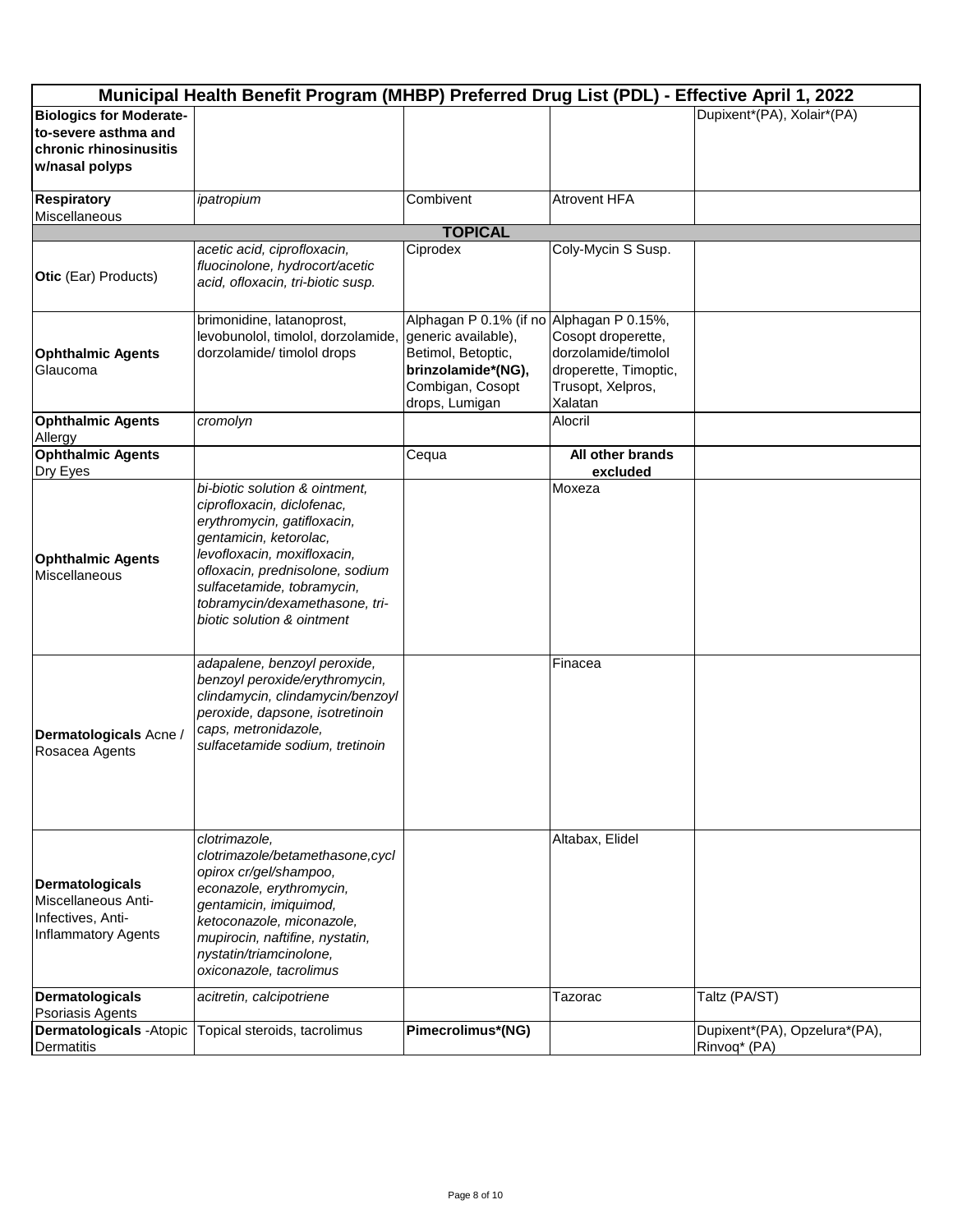|                                                                                                    | Municipal Health Benefit Program (MHBP) Preferred Drug List (PDL) - Effective April 1, 2022                                                                                                                                                                                           |                                                                                                                                                   |                                                                                                    |                                               |  |  |  |
|----------------------------------------------------------------------------------------------------|---------------------------------------------------------------------------------------------------------------------------------------------------------------------------------------------------------------------------------------------------------------------------------------|---------------------------------------------------------------------------------------------------------------------------------------------------|----------------------------------------------------------------------------------------------------|-----------------------------------------------|--|--|--|
| <b>Biologics for Moderate-</b><br>to-severe asthma and<br>chronic rhinosinusitis<br>w/nasal polyps |                                                                                                                                                                                                                                                                                       |                                                                                                                                                   |                                                                                                    | Dupixent*(PA), Xolair*(PA)                    |  |  |  |
| <b>Respiratory</b><br><b>Miscellaneous</b>                                                         | ipatropium                                                                                                                                                                                                                                                                            | Combivent                                                                                                                                         | <b>Atrovent HFA</b>                                                                                |                                               |  |  |  |
| <b>TOPICAL</b>                                                                                     |                                                                                                                                                                                                                                                                                       |                                                                                                                                                   |                                                                                                    |                                               |  |  |  |
| Otic (Ear) Products)                                                                               | acetic acid, ciprofloxacin,<br>fluocinolone, hydrocort/acetic<br>acid, ofloxacin, tri-biotic susp.                                                                                                                                                                                    | Ciprodex                                                                                                                                          | Coly-Mycin S Susp.                                                                                 |                                               |  |  |  |
| <b>Ophthalmic Agents</b><br>Glaucoma                                                               | brimonidine, latanoprost,<br>levobunolol, timolol, dorzolamide,<br>dorzolamide/ timolol drops                                                                                                                                                                                         | Alphagan P 0.1% (if no Alphagan P 0.15%,<br>generic available),<br>Betimol, Betoptic,<br>brinzolamide*(NG),<br>Combigan, Cosopt<br>drops, Lumigan | Cosopt droperette,<br>dorzolamide/timolol<br>droperette, Timoptic,<br>Trusopt, Xelpros,<br>Xalatan |                                               |  |  |  |
| <b>Ophthalmic Agents</b><br>Allergy                                                                | cromolyn                                                                                                                                                                                                                                                                              |                                                                                                                                                   | Alocril                                                                                            |                                               |  |  |  |
| <b>Ophthalmic Agents</b><br>Dry Eyes                                                               |                                                                                                                                                                                                                                                                                       | Cequa                                                                                                                                             | All other brands<br>excluded                                                                       |                                               |  |  |  |
| <b>Ophthalmic Agents</b><br>Miscellaneous                                                          | bi-biotic solution & ointment,<br>ciprofloxacin, diclofenac,<br>erythromycin, gatifloxacin,<br>gentamicin, ketorolac,<br>levofloxacin, moxifloxacin,<br>ofloxacin, prednisolone, sodium<br>sulfacetamide, tobramycin,<br>tobramycin/dexamethasone, tri-<br>biotic solution & ointment |                                                                                                                                                   | Moxeza                                                                                             |                                               |  |  |  |
| Dermatologicals Acne /<br>Rosacea Agents                                                           | adapalene, benzoyl peroxide,<br>benzoyl peroxide/erythromycin,<br>clindamycin, clindamycin/benzoyl<br>peroxide, dapsone, isotretinoin<br>caps, metronidazole,<br>sulfacetamide sodium, tretinoin                                                                                      |                                                                                                                                                   | Finacea                                                                                            |                                               |  |  |  |
| <b>Dermatologicals</b><br>Miscellaneous Anti-<br>Infectives, Anti-<br><b>Inflammatory Agents</b>   | clotrimazole,<br>clotrimazole/betamethasone, cycl<br>opirox cr/gel/shampoo,<br>econazole, erythromycin,<br>gentamicin, imiquimod,<br>ketoconazole, miconazole,<br>mupirocin, naftifine, nystatin,<br>nystatin/triamcinolone,<br>oxiconazole, tacrolimus                               |                                                                                                                                                   | Altabax, Elidel                                                                                    |                                               |  |  |  |
| <b>Dermatologicals</b><br><b>Psoriasis Agents</b>                                                  | acitretin, calcipotriene                                                                                                                                                                                                                                                              |                                                                                                                                                   | Tazorac                                                                                            | Taltz (PA/ST)                                 |  |  |  |
| Dermatologicals - Atopic<br>Dermatitis                                                             | Topical steroids, tacrolimus                                                                                                                                                                                                                                                          | Pimecrolimus*(NG)                                                                                                                                 |                                                                                                    | Dupixent*(PA), Opzelura*(PA),<br>Rinvoq* (PA) |  |  |  |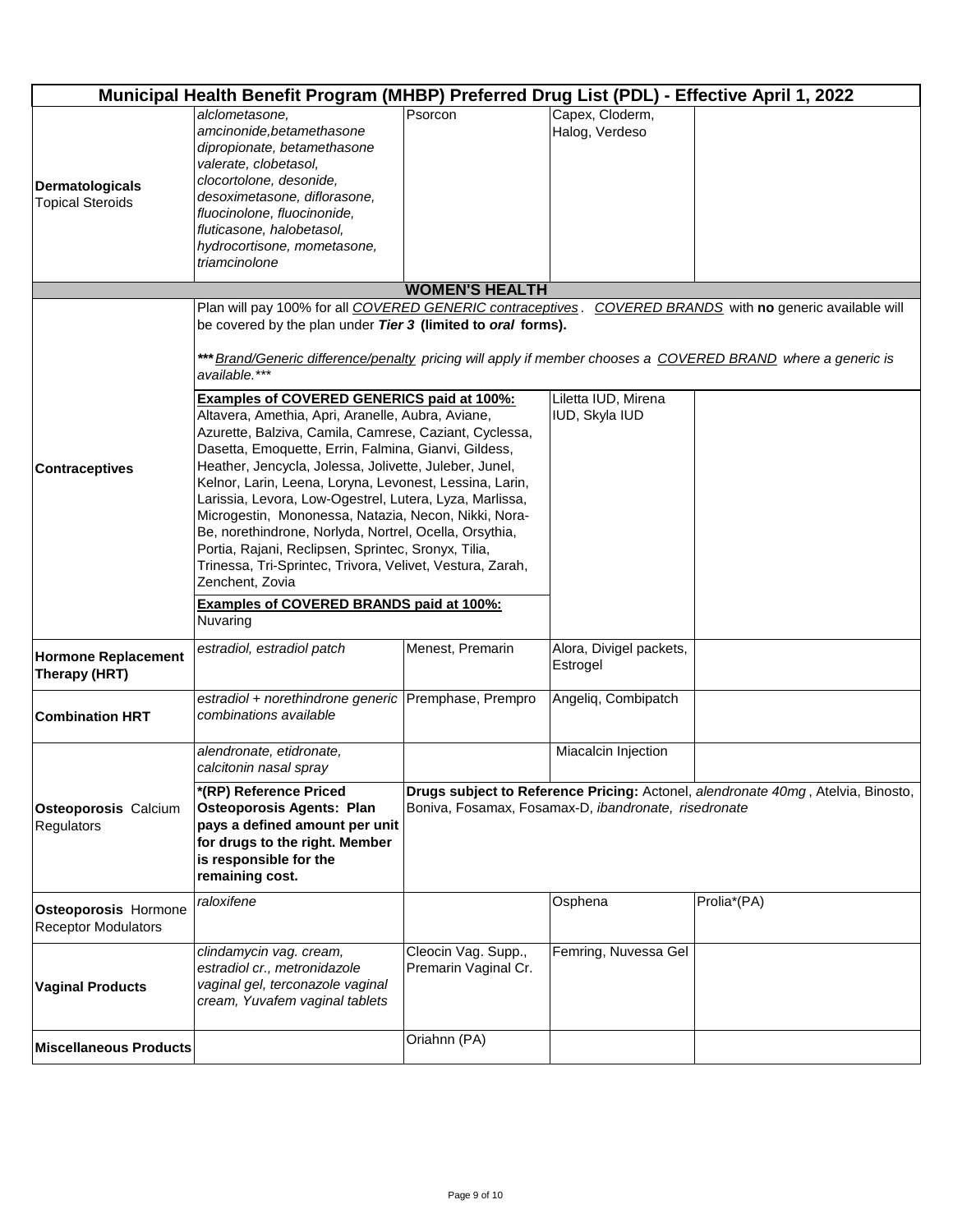|                                                                                           | Municipal Health Benefit Program (MHBP) Preferred Drug List (PDL) - Effective April 1, 2022                                                                                                                                                                                                                                                                                                                                                                                                                                                                                                                                                                       |                                             |                                                      |                                                                                                          |
|-------------------------------------------------------------------------------------------|-------------------------------------------------------------------------------------------------------------------------------------------------------------------------------------------------------------------------------------------------------------------------------------------------------------------------------------------------------------------------------------------------------------------------------------------------------------------------------------------------------------------------------------------------------------------------------------------------------------------------------------------------------------------|---------------------------------------------|------------------------------------------------------|----------------------------------------------------------------------------------------------------------|
| <b>Dermatologicals</b><br><b>Topical Steroids</b>                                         | alclometasone,<br>amcinonide, betamethasone<br>dipropionate, betamethasone<br>valerate, clobetasol,<br>clocortolone, desonide,<br>desoximetasone, diflorasone,<br>fluocinolone, fluocinonide,<br>fluticasone, halobetasol,<br>hydrocortisone, mometasone,<br>triamcinolone                                                                                                                                                                                                                                                                                                                                                                                        | Psorcon                                     | Capex, Cloderm,<br>Halog, Verdeso                    |                                                                                                          |
|                                                                                           |                                                                                                                                                                                                                                                                                                                                                                                                                                                                                                                                                                                                                                                                   | <b>WOMEN'S HEALTH</b>                       |                                                      |                                                                                                          |
|                                                                                           | be covered by the plan under Tier 3 (limited to oral forms).<br>*** Brand/Generic difference/penalty pricing will apply if member chooses a COVERED BRAND where a generic is<br>available.***                                                                                                                                                                                                                                                                                                                                                                                                                                                                     |                                             |                                                      | Plan will pay 100% for all COVERED GENERIC contraceptives. COVERED BRANDS with no generic available will |
| <b>Contraceptives</b>                                                                     | <b>Examples of COVERED GENERICS paid at 100%:</b><br>Altavera, Amethia, Apri, Aranelle, Aubra, Aviane,<br>Azurette, Balziva, Camila, Camrese, Caziant, Cyclessa,<br>Dasetta, Emoquette, Errin, Falmina, Gianvi, Gildess,<br>Heather, Jencycla, Jolessa, Jolivette, Juleber, Junel,<br>Kelnor, Larin, Leena, Loryna, Levonest, Lessina, Larin,<br>Larissia, Levora, Low-Ogestrel, Lutera, Lyza, Marlissa,<br>Microgestin, Mononessa, Natazia, Necon, Nikki, Nora-<br>Be, norethindrone, Norlyda, Nortrel, Ocella, Orsythia,<br>Portia, Rajani, Reclipsen, Sprintec, Sronyx, Tilia,<br>Trinessa, Tri-Sprintec, Trivora, Velivet, Vestura, Zarah,<br>Zenchent, Zovia |                                             | Liletta IUD, Mirena<br>IUD, Skyla IUD                |                                                                                                          |
| <b>Examples of COVERED BRANDS paid at 100%:</b><br>Nuvaring<br>estradiol, estradiol patch |                                                                                                                                                                                                                                                                                                                                                                                                                                                                                                                                                                                                                                                                   | Menest, Premarin                            | Alora, Divigel packets,                              |                                                                                                          |
| <b>Hormone Replacement</b><br>Therapy (HRT)                                               |                                                                                                                                                                                                                                                                                                                                                                                                                                                                                                                                                                                                                                                                   |                                             | Estrogel                                             |                                                                                                          |
| <b>Combination HRT</b>                                                                    | estradiol + norethindrone generic Premphase, Prempro<br>combinations available                                                                                                                                                                                                                                                                                                                                                                                                                                                                                                                                                                                    |                                             | Angeliq, Combipatch                                  |                                                                                                          |
|                                                                                           | alendronate, etidronate,<br>calcitonin nasal spray                                                                                                                                                                                                                                                                                                                                                                                                                                                                                                                                                                                                                |                                             | Miacalcin Injection                                  |                                                                                                          |
| <b>Osteoporosis Calcium</b><br>Regulators                                                 | *(RP) Reference Priced<br><b>Osteoporosis Agents: Plan</b><br>pays a defined amount per unit<br>for drugs to the right. Member<br>is responsible for the<br>remaining cost.                                                                                                                                                                                                                                                                                                                                                                                                                                                                                       |                                             | Boniva, Fosamax, Fosamax-D, ibandronate, risedronate | Drugs subject to Reference Pricing: Actonel, alendronate 40mg, Atelvia, Binosto,                         |
| <b>Osteoporosis Hormone</b><br><b>Receptor Modulators</b>                                 | raloxifene                                                                                                                                                                                                                                                                                                                                                                                                                                                                                                                                                                                                                                                        |                                             | Osphena                                              | Prolia*(PA)                                                                                              |
| <b>Vaginal Products</b>                                                                   | clindamycin vag. cream,<br>estradiol cr., metronidazole<br>vaginal gel, terconazole vaginal<br>cream, Yuvafem vaginal tablets                                                                                                                                                                                                                                                                                                                                                                                                                                                                                                                                     | Cleocin Vag. Supp.,<br>Premarin Vaginal Cr. | Femring, Nuvessa Gel                                 |                                                                                                          |
| <b>Miscellaneous Products</b>                                                             |                                                                                                                                                                                                                                                                                                                                                                                                                                                                                                                                                                                                                                                                   | Oriahnn (PA)                                |                                                      |                                                                                                          |